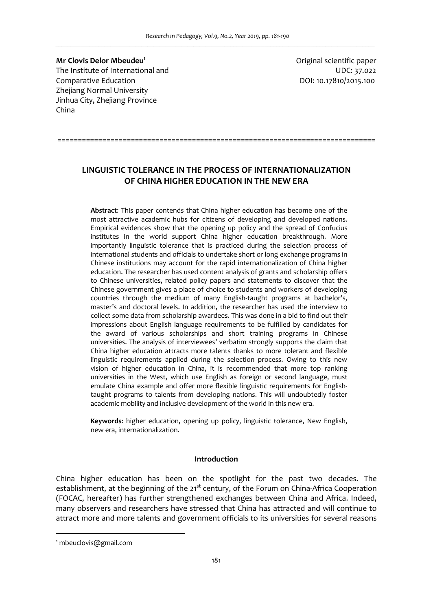**Mr Clovis Delor Mbeudeu<sup>1</sup>** The Institute of International and UDC: 37.022 Comparative Education DOI: 10.17810/2015.100 Zhejiang Normal University Jinhua City, Zhejiang Province China

Original scientific paper

# **LINGUISTIC TOLERANCE IN THE PROCESS OF INTERNATIONALIZATION OF CHINA HIGHER EDUCATION IN THE NEW ERA**

==============================================================================

**Abstract**: This paper contends that China higher education has become one of the most attractive academic hubs for citizens of developing and developed nations. Empirical evidences show that the opening up policy and the spread of Confucius institutes in the world support China higher education breakthrough. More importantly linguistic tolerance that is practiced during the selection process of international students and officials to undertake short or long exchange programs in Chinese institutions may account for the rapid internationalization of China higher education. The researcher has used content analysis of grants and scholarship offers to Chinese universities, related policy papers and statements to discover that the Chinese government gives a place of choice to students and workers of developing countries through the medium of many English-taught programs at bachelor's, master's and doctoral levels. In addition, the researcher has used the interview to collect some data from scholarship awardees. This was done in a bid to find out their impressions about English language requirements to be fulfilled by candidates for the award of various scholarships and short training programs in Chinese universities. The analysis of interviewees' verbatim strongly supports the claim that China higher education attracts more talents thanks to more tolerant and flexible linguistic requirements applied during the selection process. Owing to this new vision of higher education in China, it is recommended that more top ranking universities in the West, which use English as foreign or second language, must emulate China example and offer more flexible linguistic requirements for Englishtaught programs to talents from developing nations. This will undoubtedly foster academic mobility and inclusive development of the world in this new era.

**Keywords**: higher education, opening up policy, linguistic tolerance, New English, new era, internationalization.

# **Introduction**

China higher education has been on the spotlight for the past two decades. The establishment, at the beginning of the 21<sup>st</sup> century, of the Forum on China-Africa Cooperation (FOCAC, hereafter) has further strengthened exchanges between China and Africa. Indeed, many observers and researchers have stressed that China has attracted and will continue to attract more and more talents and government officials to its universities for several reasons

 $\overline{a}$ 

<sup>1</sup> mbeuclovis@gmail.com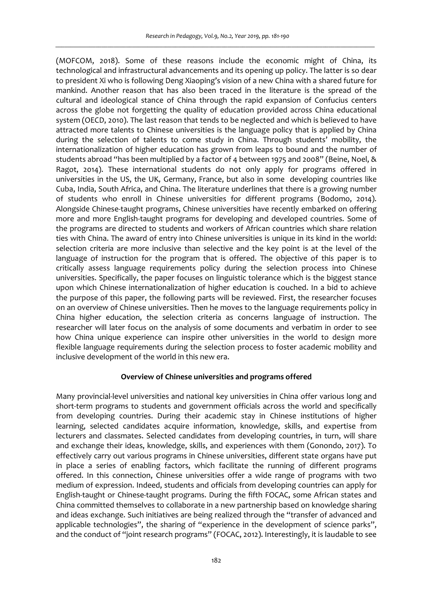(MOFCOM, 2018). Some of these reasons include the economic might of China, its technological and infrastructural advancements and its opening up policy. The latter is so dear to president Xi who is following Deng Xiaoping's vision of a new China with a shared future for mankind. Another reason that has also been traced in the literature is the spread of the cultural and ideological stance of China through the rapid expansion of Confucius centers across the globe not forgetting the quality of education provided across China educational system (OECD, 2010). The last reason that tends to be neglected and which is believed to have attracted more talents to Chinese universities is the language policy that is applied by China during the selection of talents to come study in China. Through students' mobility, the internationalization of higher education has grown from leaps to bound and the number of students abroad "has been multiplied by a factor of 4 between 1975 and 2008" (Beine, Noel, & Ragot, 2014). These international students do not only apply for programs offered in universities in the US, the UK, Germany, France, but also in some developing countries like Cuba, India, South Africa, and China. The literature underlines that there is a growing number of students who enroll in Chinese universities for different programs (Bodomo, 2014). Alongside Chinese-taught programs, Chinese universities have recently embarked on offering more and more English-taught programs for developing and developed countries. Some of the programs are directed to students and workers of African countries which share relation ties with China. The award of entry into Chinese universities is unique in its kind in the world: selection criteria are more inclusive than selective and the key point is at the level of the language of instruction for the program that is offered. The objective of this paper is to critically assess language requirements policy during the selection process into Chinese universities. Specifically, the paper focuses on linguistic tolerance which is the biggest stance upon which Chinese internationalization of higher education is couched. In a bid to achieve the purpose of this paper, the following parts will be reviewed. First, the researcher focuses on an overview of Chinese universities. Then he moves to the language requirements policy in China higher education, the selection criteria as concerns language of instruction. The researcher will later focus on the analysis of some documents and verbatim in order to see how China unique experience can inspire other universities in the world to design more flexible language requirements during the selection process to foster academic mobility and inclusive development of the world in this new era.

# **Overview of Chinese universities and programs offered**

Many provincial-level universities and national key universities in China offer various long and short-term programs to students and government officials across the world and specifically from developing countries. During their academic stay in Chinese institutions of higher learning, selected candidates acquire information, knowledge, skills, and expertise from lecturers and classmates. Selected candidates from developing countries, in turn, will share and exchange their ideas, knowledge, skills, and experiences with them (Gonondo, 2017). To effectively carry out various programs in Chinese universities, different state organs have put in place a series of enabling factors, which facilitate the running of different programs offered. In this connection, Chinese universities offer a wide range of programs with two medium of expression. Indeed, students and officials from developing countries can apply for English-taught or Chinese-taught programs. During the fifth FOCAC, some African states and China committed themselves to collaborate in a new partnership based on knowledge sharing and ideas exchange. Such initiatives are being realized through the "transfer of advanced and applicable technologies", the sharing of "experience in the development of science parks", and the conduct of "joint research programs" (FOCAC, 2012). Interestingly, it is laudable to see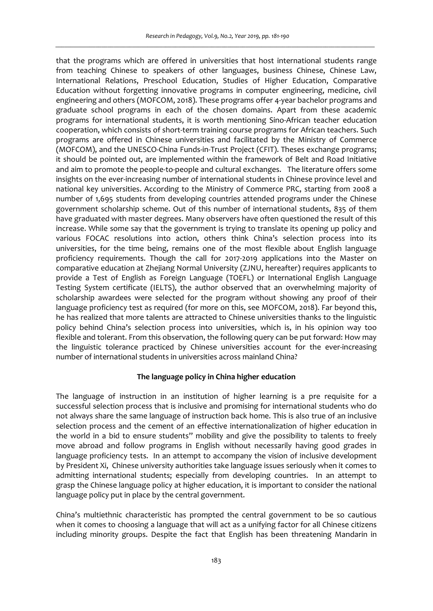that the programs which are offered in universities that host international students range from teaching Chinese to speakers of other languages, business Chinese, Chinese Law, International Relations, Preschool Education, Studies of Higher Education, Comparative Education without forgetting innovative programs in computer engineering, medicine, civil engineering and others (MOFCOM, 2018). These programs offer 4-year bachelor programs and graduate school programs in each of the chosen domains. Apart from these academic programs for international students, it is worth mentioning Sino-African teacher education cooperation, which consists of short-term training course programs for African teachers. Such programs are offered in Chinese universities and facilitated by the Ministry of Commerce (MOFCOM), and the UNESCO-China Funds-in-Trust Project (CFIT). Theses exchange programs; it should be pointed out, are implemented within the framework of Belt and Road Initiative and aim to promote the people-to-people and cultural exchanges. The literature offers some insights on the ever-increasing number of international students in Chinese province level and national key universities. According to the Ministry of Commerce PRC, starting from 2008 a number of 1,695 students from developing countries attended programs under the Chinese government scholarship scheme. Out of this number of international students, 835 of them have graduated with master degrees. Many observers have often questioned the result of this increase. While some say that the government is trying to translate its opening up policy and various FOCAC resolutions into action, others think China's selection process into its universities, for the time being, remains one of the most flexible about English language proficiency requirements. Though the call for 2017-2019 applications into the Master on comparative education at Zhejiang Normal University (ZJNU, hereafter) requires applicants to provide a Test of English as Foreign Language (TOEFL) or International English Language Testing System certificate (IELTS), the author observed that an overwhelming majority of scholarship awardees were selected for the program without showing any proof of their language proficiency test as required (for more on this, see MOFCOM, 2018). Far beyond this, he has realized that more talents are attracted to Chinese universities thanks to the linguistic policy behind China's selection process into universities, which is, in his opinion way too flexible and tolerant. From this observation, the following query can be put forward: How may the linguistic tolerance practiced by Chinese universities account for the ever-increasing number of international students in universities across mainland China?

# **The language policy in China higher education**

The language of instruction in an institution of higher learning is a pre requisite for a successful selection process that is inclusive and promising for international students who do not always share the same language of instruction back home. This is also true of an inclusive selection process and the cement of an effective internationalization of higher education in the world in a bid to ensure students'' mobility and give the possibility to talents to freely move abroad and follow programs in English without necessarily having good grades in language proficiency tests. In an attempt to accompany the vision of inclusive development by President Xi, Chinese university authorities take language issues seriously when it comes to admitting international students; especially from developing countries. In an attempt to grasp the Chinese language policy at higher education, it is important to consider the national language policy put in place by the central government.

China's multiethnic characteristic has prompted the central government to be so cautious when it comes to choosing a language that will act as a unifying factor for all Chinese citizens including minority groups. Despite the fact that English has been threatening Mandarin in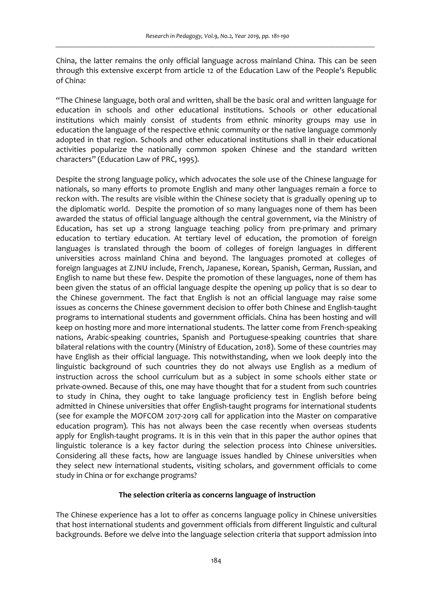China, the latter remains the only official language across mainland China. This can be seen through this extensive excerpt from article 12 of the Education Law of the People's Republic of China:

"The Chinese language, both oral and written, shall be the basic oral and written language for education in schools and other educational institutions. Schools or other educational institutions which mainly consist of students from ethnic minority groups may use in education the language of the respective ethnic community or the native language commonly adopted in that region. Schools and other educational institutions shall in their educational activities popularize the nationally common spoken Chinese and the standard written characters" (Education Law of PRC, 1995).

Despite the strong language policy, which advocates the sole use of the Chinese language for nationals, so many efforts to promote English and many other languages remain a force to reckon with. The results are visible within the Chinese society that is gradually opening up to the diplomatic world. Despite the promotion of so many languages none of them has been awarded the status of official language although the central government, via the Ministry of Education, has set up a strong language teaching policy from pre-primary and primary education to tertiary education. At tertiary level of education, the promotion of foreign languages is translated through the boom of colleges of foreign languages in different universities across mainland China and beyond. The languages promoted at colleges of foreign languages at ZJNU include, French, Japanese, Korean, Spanish, German, Russian, and English to name but these few. Despite the promotion of these languages, none of them has been given the status of an official language despite the opening up policy that is so dear to the Chinese government. The fact that English is not an official language may raise some issues as concerns the Chinese government decision to offer both Chinese and English-taught programs to international students and government officials. China has been hosting and will keep on hosting more and more international students. The latter come from French-speaking nations, Arabic-speaking countries, Spanish and Portuguese-speaking countries that share bilateral relations with the country (Ministry of Education, 2018). Some of these countries may have English as their official language. This notwithstanding, when we look deeply into the linguistic background of such countries they do not always use English as a medium of instruction across the school curriculum but as a subject in some schools either state or private-owned. Because of this, one may have thought that for a student from such countries to study in China, they ought to take language proficiency test in English before being admitted in Chinese universities that offer English-taught programs for international students (see for example the MOFCOM 2017-2019 call for application into the Master on comparative education program). This has not always been the case recently when overseas students apply for English-taught programs. It is in this vein that in this paper the author opines that linguistic tolerance is a key factor during the selection process into Chinese universities. Considering all these facts, how are language issues handled by Chinese universities when they select new international students, visiting scholars, and government officials to come study in China or for exchange programs?

# **The selection criteria as concerns language of instruction**

The Chinese experience has a lot to offer as concerns language policy in Chinese universities that host international students and government officials from different linguistic and cultural backgrounds. Before we delve into the language selection criteria that support admission into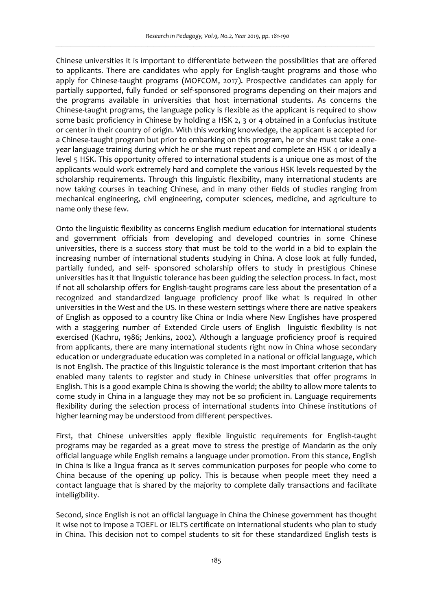Chinese universities it is important to differentiate between the possibilities that are offered to applicants. There are candidates who apply for English-taught programs and those who apply for Chinese-taught programs (MOFCOM, 2017). Prospective candidates can apply for partially supported, fully funded or self-sponsored programs depending on their majors and the programs available in universities that host international students. As concerns the Chinese-taught programs, the language policy is flexible as the applicant is required to show some basic proficiency in Chinese by holding a HSK 2, 3 or 4 obtained in a Confucius institute or center in their country of origin. With this working knowledge, the applicant is accepted for a Chinese-taught program but prior to embarking on this program, he or she must take a oneyear language training during which he or she must repeat and complete an HSK 4 or ideally a level 5 HSK. This opportunity offered to international students is a unique one as most of the applicants would work extremely hard and complete the various HSK levels requested by the scholarship requirements. Through this linguistic flexibility, many international students are now taking courses in teaching Chinese, and in many other fields of studies ranging from mechanical engineering, civil engineering, computer sciences, medicine, and agriculture to name only these few.

Onto the linguistic flexibility as concerns English medium education for international students and government officials from developing and developed countries in some Chinese universities, there is a success story that must be told to the world in a bid to explain the increasing number of international students studying in China. A close look at fully funded, partially funded, and self- sponsored scholarship offers to study in prestigious Chinese universities has it that linguistic tolerance has been guiding the selection process. In fact, most if not all scholarship offers for English-taught programs care less about the presentation of a recognized and standardized language proficiency proof like what is required in other universities in the West and the US. In these western settings where there are native speakers of English as opposed to a country like China or India where New Englishes have prospered with a staggering number of Extended Circle users of English linguistic flexibility is not exercised (Kachru, 1986; Jenkins, 2002). Although a language proficiency proof is required from applicants, there are many international students right now in China whose secondary education or undergraduate education was completed in a national or official language, which is not English. The practice of this linguistic tolerance is the most important criterion that has enabled many talents to register and study in Chinese universities that offer programs in English. This is a good example China is showing the world; the ability to allow more talents to come study in China in a language they may not be so proficient in. Language requirements flexibility during the selection process of international students into Chinese institutions of higher learning may be understood from different perspectives.

First, that Chinese universities apply flexible linguistic requirements for English-taught programs may be regarded as a great move to stress the prestige of Mandarin as the only official language while English remains a language under promotion. From this stance, English in China is like a lingua franca as it serves communication purposes for people who come to China because of the opening up policy. This is because when people meet they need a contact language that is shared by the majority to complete daily transactions and facilitate intelligibility.

Second, since English is not an official language in China the Chinese government has thought it wise not to impose a TOEFL or IELTS certificate on international students who plan to study in China. This decision not to compel students to sit for these standardized English tests is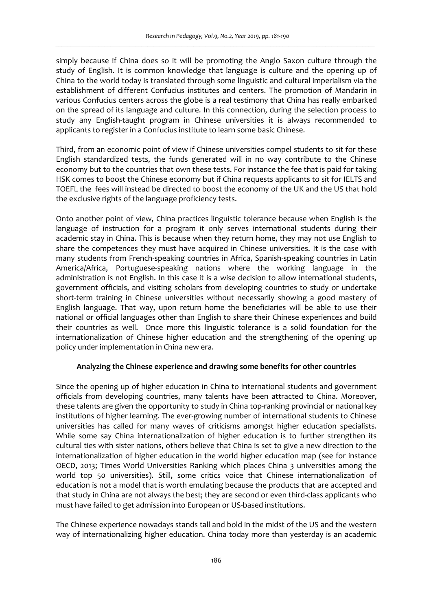simply because if China does so it will be promoting the Anglo Saxon culture through the study of English. It is common knowledge that language is culture and the opening up of China to the world today is translated through some linguistic and cultural imperialism via the establishment of different Confucius institutes and centers. The promotion of Mandarin in various Confucius centers across the globe is a real testimony that China has really embarked on the spread of its language and culture. In this connection, during the selection process to study any English-taught program in Chinese universities it is always recommended to applicants to register in a Confucius institute to learn some basic Chinese.

Third, from an economic point of view if Chinese universities compel students to sit for these English standardized tests, the funds generated will in no way contribute to the Chinese economy but to the countries that own these tests. For instance the fee that is paid for taking HSK comes to boost the Chinese economy but if China requests applicants to sit for IELTS and TOEFL the fees will instead be directed to boost the economy of the UK and the US that hold the exclusive rights of the language proficiency tests.

Onto another point of view, China practices linguistic tolerance because when English is the language of instruction for a program it only serves international students during their academic stay in China. This is because when they return home, they may not use English to share the competences they must have acquired in Chinese universities. It is the case with many students from French-speaking countries in Africa, Spanish-speaking countries in Latin America/Africa, Portuguese-speaking nations where the working language in the administration is not English. In this case it is a wise decision to allow international students, government officials, and visiting scholars from developing countries to study or undertake short-term training in Chinese universities without necessarily showing a good mastery of English language. That way, upon return home the beneficiaries will be able to use their national or official languages other than English to share their Chinese experiences and build their countries as well. Once more this linguistic tolerance is a solid foundation for the internationalization of Chinese higher education and the strengthening of the opening up policy under implementation in China new era.

# **Analyzing the Chinese experience and drawing some benefits for other countries**

Since the opening up of higher education in China to international students and government officials from developing countries, many talents have been attracted to China. Moreover, these talents are given the opportunity to study in China top-ranking provincial or national key institutions of higher learning. The ever-growing number of international students to Chinese universities has called for many waves of criticisms amongst higher education specialists. While some say China internationalization of higher education is to further strengthen its cultural ties with sister nations, others believe that China is set to give a new direction to the internationalization of higher education in the world higher education map (see for instance OECD, 2013; Times World Universities Ranking which places China 3 universities among the world top 50 universities). Still, some critics voice that Chinese internationalization of education is not a model that is worth emulating because the products that are accepted and that study in China are not always the best; they are second or even third-class applicants who must have failed to get admission into European or US-based institutions.

The Chinese experience nowadays stands tall and bold in the midst of the US and the western way of internationalizing higher education. China today more than yesterday is an academic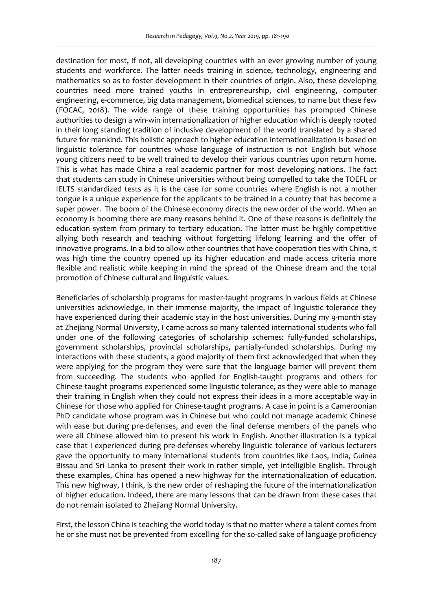destination for most, if not, all developing countries with an ever growing number of young students and workforce. The latter needs training in science, technology, engineering and mathematics so as to foster development in their countries of origin. Also, these developing countries need more trained youths in entrepreneurship, civil engineering, computer engineering, e-commerce, big data management, biomedical sciences, to name but these few (FOCAC, 2018). The wide range of these training opportunities has prompted Chinese authorities to design a win-win internationalization of higher education which is deeply rooted in their long standing tradition of inclusive development of the world translated by a shared future for mankind. This holistic approach to higher education internationalization is based on linguistic tolerance for countries whose language of instruction is not English but whose young citizens need to be well trained to develop their various countries upon return home. This is what has made China a real academic partner for most developing nations. The fact that students can study in Chinese universities without being compelled to take the TOEFL or IELTS standardized tests as it is the case for some countries where English is not a mother tongue is a unique experience for the applicants to be trained in a country that has become a super power. The boom of the Chinese economy directs the new order of the world. When an economy is booming there are many reasons behind it. One of these reasons is definitely the education system from primary to tertiary education. The latter must be highly competitive allying both research and teaching without forgetting lifelong learning and the offer of innovative programs. In a bid to allow other countries that have cooperation ties with China, it was high time the country opened up its higher education and made access criteria more flexible and realistic while keeping in mind the spread of the Chinese dream and the total promotion of Chinese cultural and linguistic values.

Beneficiaries of scholarship programs for master-taught programs in various fields at Chinese universities acknowledge, in their immense majority, the impact of linguistic tolerance they have experienced during their academic stay in the host universities. During my 9-month stay at Zhejiang Normal University, I came across so many talented international students who fall under one of the following categories of scholarship schemes: fully-funded scholarships, government scholarships, provincial scholarships, partially-funded scholarships. During my interactions with these students, a good majority of them first acknowledged that when they were applying for the program they were sure that the language barrier will prevent them from succeeding. The students who applied for English-taught programs and others for Chinese-taught programs experienced some linguistic tolerance, as they were able to manage their training in English when they could not express their ideas in a more acceptable way in Chinese for those who applied for Chinese-taught programs. A case in point is a Cameroonian PhD candidate whose program was in Chinese but who could not manage academic Chinese with ease but during pre-defenses, and even the final defense members of the panels who were all Chinese allowed him to present his work in English. Another illustration is a typical case that I experienced during pre-defenses whereby linguistic tolerance of various lecturers gave the opportunity to many international students from countries like Laos, India, Guinea Bissau and Sri Lanka to present their work in rather simple, yet intelligible English. Through these examples, China has opened a new highway for the internationalization of education. This new highway, I think, is the new order of reshaping the future of the internationalization of higher education. Indeed, there are many lessons that can be drawn from these cases that do not remain isolated to Zhejiang Normal University.

First, the lesson China is teaching the world today is that no matter where a talent comes from he or she must not be prevented from excelling for the so-called sake of language proficiency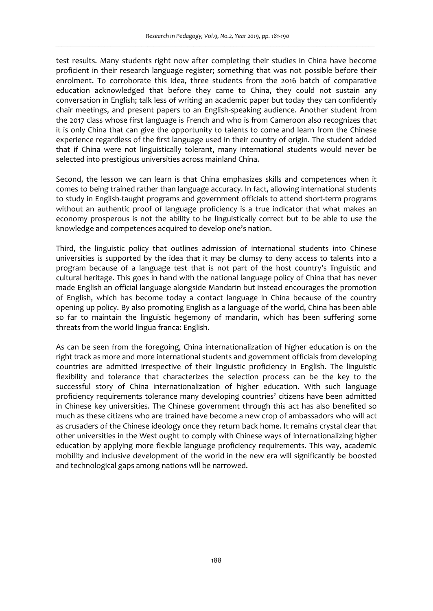test results. Many students right now after completing their studies in China have become proficient in their research language register; something that was not possible before their enrolment. To corroborate this idea, three students from the 2016 batch of comparative education acknowledged that before they came to China, they could not sustain any conversation in English; talk less of writing an academic paper but today they can confidently chair meetings, and present papers to an English-speaking audience. Another student from the 2017 class whose first language is French and who is from Cameroon also recognizes that it is only China that can give the opportunity to talents to come and learn from the Chinese experience regardless of the first language used in their country of origin. The student added that if China were not linguistically tolerant, many international students would never be selected into prestigious universities across mainland China.

Second, the lesson we can learn is that China emphasizes skills and competences when it comes to being trained rather than language accuracy. In fact, allowing international students to study in English-taught programs and government officials to attend short-term programs without an authentic proof of language proficiency is a true indicator that what makes an economy prosperous is not the ability to be linguistically correct but to be able to use the knowledge and competences acquired to develop one's nation.

Third, the linguistic policy that outlines admission of international students into Chinese universities is supported by the idea that it may be clumsy to deny access to talents into a program because of a language test that is not part of the host country's linguistic and cultural heritage. This goes in hand with the national language policy of China that has never made English an official language alongside Mandarin but instead encourages the promotion of English, which has become today a contact language in China because of the country opening up policy. By also promoting English as a language of the world, China has been able so far to maintain the linguistic hegemony of mandarin, which has been suffering some threats from the world lingua franca: English.

As can be seen from the foregoing, China internationalization of higher education is on the right track as more and more international students and government officials from developing countries are admitted irrespective of their linguistic proficiency in English. The linguistic flexibility and tolerance that characterizes the selection process can be the key to the successful story of China internationalization of higher education. With such language proficiency requirements tolerance many developing countries' citizens have been admitted in Chinese key universities. The Chinese government through this act has also benefited so much as these citizens who are trained have become a new crop of ambassadors who will act as crusaders of the Chinese ideology once they return back home. It remains crystal clear that other universities in the West ought to comply with Chinese ways of internationalizing higher education by applying more flexible language proficiency requirements. This way, academic mobility and inclusive development of the world in the new era will significantly be boosted and technological gaps among nations will be narrowed.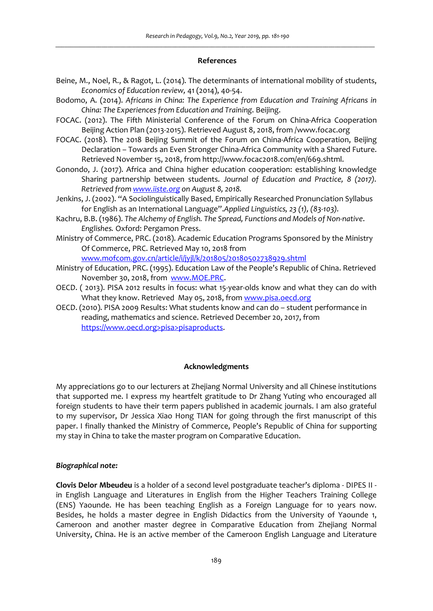#### **References**

- Beine, M., Noel, R., & Ragot, L. (2014). The determinants of international mobility of students, *Economics of Education review,* 41 (2014), 40-54.
- Bodomo, A. (2014). *Africans in China: The Experience from Education and Training Africans in China: The Experiences from Education and Training*. Beijing.
- FOCAC. (2012). The Fifth Ministerial Conference of the Forum on China-Africa Cooperation Beijing Action Plan (2013-2015). Retrieved August 8, 2018, from /www.focac.org
- FOCAC. (2018). The 2018 Beijing Summit of the Forum on China-Africa Cooperation, Beijing Declaration – Towards an Even Stronger China-Africa Community with a Shared Future. Retrieved November 15, 2018, from http://www.focac2018.com/en/669.shtml.
- Gonondo, J. (2017). Africa and China higher education cooperation: establishing knowledge Sharing partnership between students. *Journal of Education and Practice, 8 (2017). Retrieved from www.iiste.org on August 8, 2018.*
- Jenkins, J. (2002). "A Sociolinguistically Based, Empirically Researched Pronunciation Syllabus for English as an International Language".*Applied Linguistics, 23 (1), (83-103).*
- Kachru, B.B. (1986). *The Alchemy of English. The Spread, Functions and Models of Non-native*. *Englishes.* Oxford: Pergamon Press.
- Ministry of Commerce, PRC. (2018). Academic Education Programs Sponsored by the Ministry Of Commerce, PRC. Retrieved May 10, 2018 from

www.mofcom.gov.cn/article/i/jyjl/k/201805/20180502738929.shtml

- Ministry of Education, PRC. (1995). Education Law of the People's Republic of China. Retrieved November 30, 2018, from www.MOE.PRC.
- OECD. ( 2013). PISA 2012 results in focus: what 15-year-olds know and what they can do with What they know. Retrieved May 05, 2018, from www.pisa.oecd.org
- OECD. (2010). PISA 2009 Results: What students know and can do student performance in reading, mathematics and science. Retrieved December 20, 2017, from https://www.oecd.org>pisa>pisaproducts.

# **Acknowledgments**

My appreciations go to our lecturers at Zhejiang Normal University and all Chinese institutions that supported me. I express my heartfelt gratitude to Dr Zhang Yuting who encouraged all foreign students to have their term papers published in academic journals. I am also grateful to my supervisor, Dr Jessica Xiao Hong TIAN for going through the first manuscript of this paper. I finally thanked the Ministry of Commerce, People's Republic of China for supporting my stay in China to take the master program on Comparative Education.

### *Biographical note:*

**Clovis Delor Mbeudeu** is a holder of a second level postgraduate teacher's diploma - DIPES II in English Language and Literatures in English from the Higher Teachers Training College (ENS) Yaounde. He has been teaching English as a Foreign Language for 10 years now. Besides, he holds a master degree in English Didactics from the University of Yaounde 1, Cameroon and another master degree in Comparative Education from Zhejiang Normal University, China. He is an active member of the Cameroon English Language and Literature